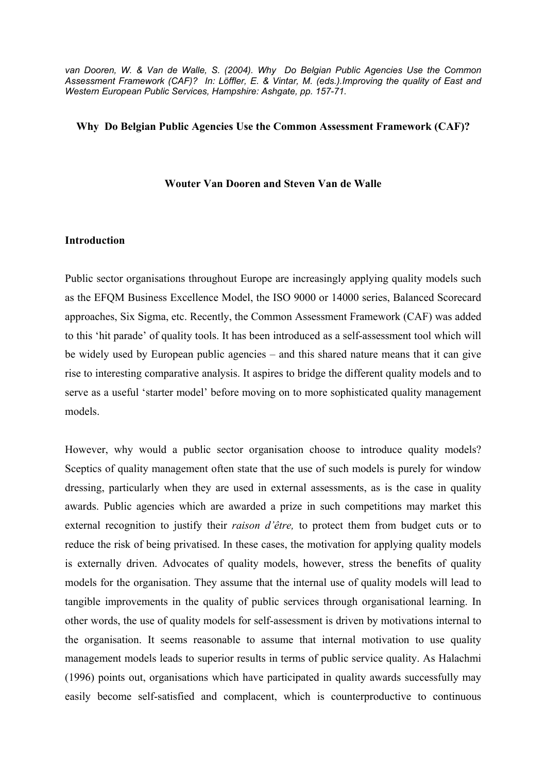*van Dooren, W. & Van de Walle, S. (2004). Why Do Belgian Public Agencies Use the Common Assessment Framework (CAF)? In: Löffler, E. & Vintar, M. (eds.).Improving the quality of East and Western European Public Services, Hampshire: Ashgate, pp. 157-71.* 

#### **Why Do Belgian Public Agencies Use the Common Assessment Framework (CAF)?**

#### **Wouter Van Dooren and Steven Van de Walle**

#### **Introduction**

Public sector organisations throughout Europe are increasingly applying quality models such as the EFQM Business Excellence Model, the ISO 9000 or 14000 series, Balanced Scorecard approaches, Six Sigma, etc. Recently, the Common Assessment Framework (CAF) was added to this 'hit parade' of quality tools. It has been introduced as a self-assessment tool which will be widely used by European public agencies – and this shared nature means that it can give rise to interesting comparative analysis. It aspires to bridge the different quality models and to serve as a useful 'starter model' before moving on to more sophisticated quality management models.

However, why would a public sector organisation choose to introduce quality models? Sceptics of quality management often state that the use of such models is purely for window dressing, particularly when they are used in external assessments, as is the case in quality awards. Public agencies which are awarded a prize in such competitions may market this external recognition to justify their *raison d'être,* to protect them from budget cuts or to reduce the risk of being privatised. In these cases, the motivation for applying quality models is externally driven. Advocates of quality models, however, stress the benefits of quality models for the organisation. They assume that the internal use of quality models will lead to tangible improvements in the quality of public services through organisational learning. In other words, the use of quality models for self-assessment is driven by motivations internal to the organisation. It seems reasonable to assume that internal motivation to use quality management models leads to superior results in terms of public service quality. As Halachmi (1996) points out, organisations which have participated in quality awards successfully may easily become self-satisfied and complacent, which is counterproductive to continuous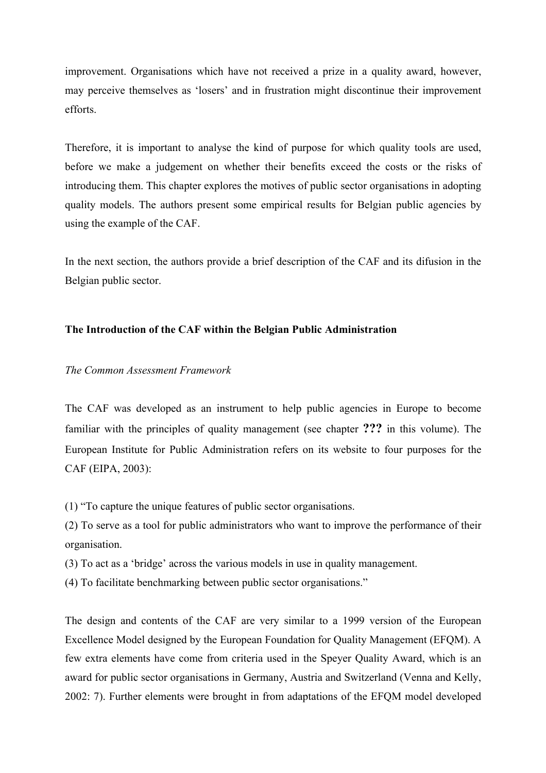improvement. Organisations which have not received a prize in a quality award, however, may perceive themselves as 'losers' and in frustration might discontinue their improvement efforts.

Therefore, it is important to analyse the kind of purpose for which quality tools are used, before we make a judgement on whether their benefits exceed the costs or the risks of introducing them. This chapter explores the motives of public sector organisations in adopting quality models. The authors present some empirical results for Belgian public agencies by using the example of the CAF.

In the next section, the authors provide a brief description of the CAF and its difusion in the Belgian public sector.

# **The Introduction of the CAF within the Belgian Public Administration**

### *The Common Assessment Framework*

The CAF was developed as an instrument to help public agencies in Europe to become familiar with the principles of quality management (see chapter **???** in this volume). The European Institute for Public Administration refers on its website to four purposes for the CAF (EIPA, 2003):

(1) "To capture the unique features of public sector organisations.

(2) To serve as a tool for public administrators who want to improve the performance of their organisation.

(3) To act as a 'bridge' across the various models in use in quality management.

(4) To facilitate benchmarking between public sector organisations."

The design and contents of the CAF are very similar to a 1999 version of the European Excellence Model designed by the European Foundation for Quality Management (EFQM). A few extra elements have come from criteria used in the Speyer Quality Award, which is an award for public sector organisations in Germany, Austria and Switzerland (Venna and Kelly, 2002: 7). Further elements were brought in from adaptations of the EFQM model developed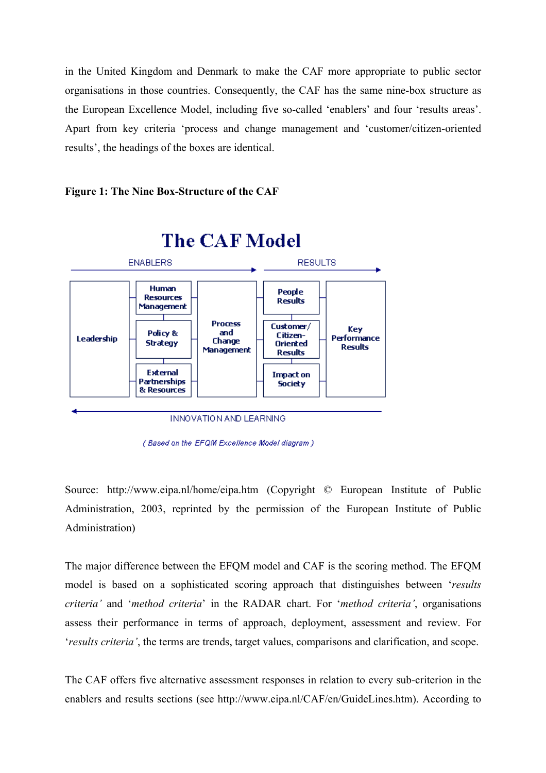in the United Kingdom and Denmark to make the CAF more appropriate to public sector organisations in those countries. Consequently, the CAF has the same nine-box structure as the European Excellence Model, including five so-called 'enablers' and four 'results areas'. Apart from key criteria 'process and change management and 'customer/citizen-oriented results', the headings of the boxes are identical.

**Figure 1: The Nine Box-Structure of the CAF** 



(Based on the EFQM Excellence Model diagram)

Source: <http://www.eipa.nl/home/eipa.htm>(Copyright © European Institute of Public Administration, 2003, reprinted by the permission of the European Institute of Public Administration)

The major difference between the EFQM model and CAF is the scoring method. The EFQM model is based on a sophisticated scoring approach that distinguishes between '*results criteria'* and '*method criteria*' in the RADAR chart. For '*method criteria'*, organisations assess their performance in terms of approach, deployment, assessment and review. For '*results criteria'*, the terms are trends, target values, comparisons and clarification, and scope.

The CAF offers five alternative assessment responses in relation to every sub-criterion in the enablers and results sections (see [http://www.eipa.nl/CAF/en/GuideLines.htm\)](http://www.eipa.nl/CAF/en/GuideLines.htm). According to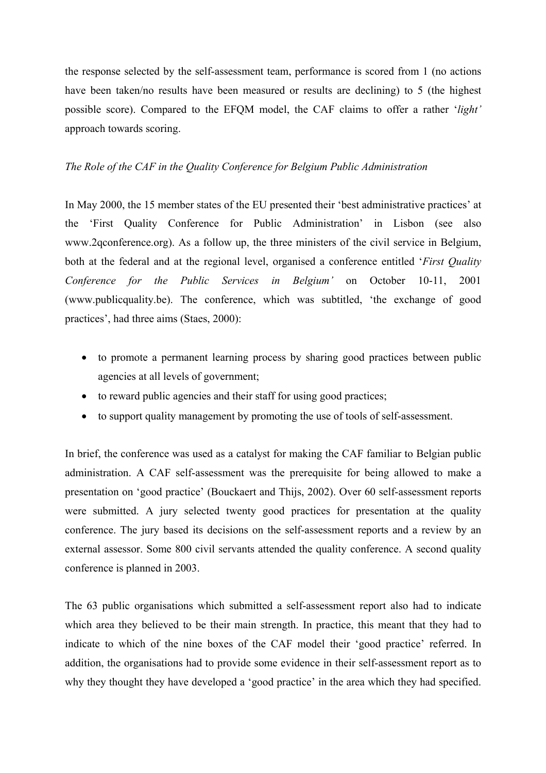the response selected by the self-assessment team, performance is scored from 1 (no actions have been taken/no results have been measured or results are declining) to 5 (the highest possible score). Compared to the EFQM model, the CAF claims to offer a rather '*light'* approach towards scoring.

# *The Role of the CAF in the Quality Conference for Belgium Public Administration*

In May 2000, the 15 member states of the EU presented their 'best administrative practices' at the 'First Quality Conference for Public Administration' in Lisbon (see also www.2qconference.org). As a follow up, the three ministers of the civil service in Belgium, both at the federal and at the regional level, organised a conference entitled '*First Quality Conference for the Public Services in Belgium'* on October 10-11, 2001 (www.publicquality.be). The conference, which was subtitled, 'the exchange of good practices', had three aims (Staes, 2000):

- to promote a permanent learning process by sharing good practices between public agencies at all levels of government;
- to reward public agencies and their staff for using good practices;
- to support quality management by promoting the use of tools of self-assessment.

In brief, the conference was used as a catalyst for making the CAF familiar to Belgian public administration. A CAF self-assessment was the prerequisite for being allowed to make a presentation on 'good practice' (Bouckaert and Thijs, 2002). Over 60 self-assessment reports were submitted. A jury selected twenty good practices for presentation at the quality conference. The jury based its decisions on the self-assessment reports and a review by an external assessor. Some 800 civil servants attended the quality conference. A second quality conference is planned in 2003.

The 63 public organisations which submitted a self-assessment report also had to indicate which area they believed to be their main strength. In practice, this meant that they had to indicate to which of the nine boxes of the CAF model their 'good practice' referred. In addition, the organisations had to provide some evidence in their self-assessment report as to why they thought they have developed a 'good practice' in the area which they had specified.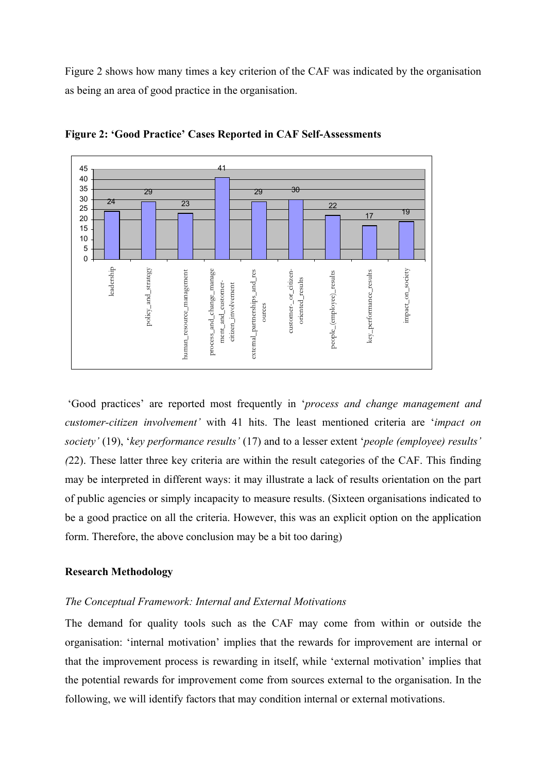Figure 2 shows how many times a key criterion of the CAF was indicated by the organisation as being an area of good practice in the organisation.



**Figure 2: 'Good Practice' Cases Reported in CAF Self-Assessments** 

'Good practices' are reported most frequently in '*process and change management and customer-citizen involvement'* with 41 hits. The least mentioned criteria are '*impact on society'* (19), '*key performance results'* (17) and to a lesser extent '*people (employee) results' (*22). These latter three key criteria are within the result categories of the CAF. This finding may be interpreted in different ways: it may illustrate a lack of results orientation on the part of public agencies or simply incapacity to measure results. (Sixteen organisations indicated to be a good practice on all the criteria. However, this was an explicit option on the application form. Therefore, the above conclusion may be a bit too daring)

### **Research Methodology**

#### *The Conceptual Framework: Internal and External Motivations*

The demand for quality tools such as the CAF may come from within or outside the organisation: 'internal motivation' implies that the rewards for improvement are internal or that the improvement process is rewarding in itself, while 'external motivation' implies that the potential rewards for improvement come from sources external to the organisation. In the following, we will identify factors that may condition internal or external motivations.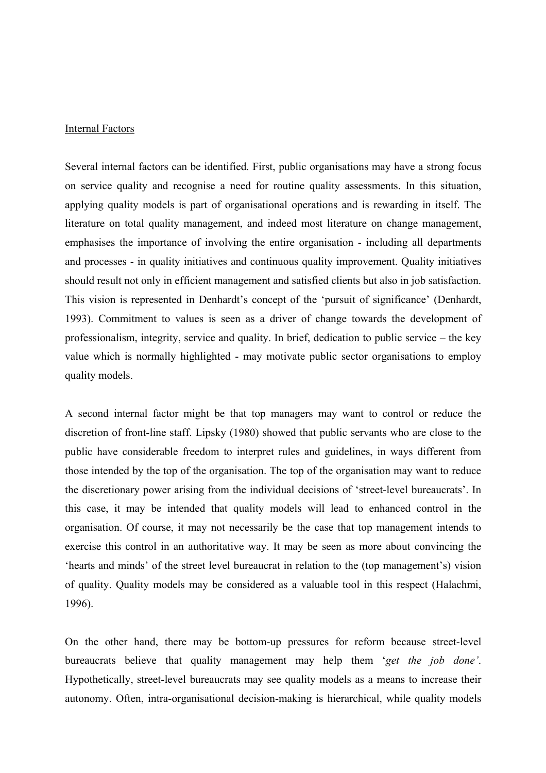#### Internal Factors

Several internal factors can be identified. First, public organisations may have a strong focus on service quality and recognise a need for routine quality assessments. In this situation, applying quality models is part of organisational operations and is rewarding in itself. The literature on total quality management, and indeed most literature on change management, emphasises the importance of involving the entire organisation - including all departments and processes - in quality initiatives and continuous quality improvement. Quality initiatives should result not only in efficient management and satisfied clients but also in job satisfaction. This vision is represented in Denhardt's concept of the 'pursuit of significance' (Denhardt, 1993). Commitment to values is seen as a driver of change towards the development of professionalism, integrity, service and quality. In brief, dedication to public service – the key value which is normally highlighted - may motivate public sector organisations to employ quality models.

A second internal factor might be that top managers may want to control or reduce the discretion of front-line staff. Lipsky (1980) showed that public servants who are close to the public have considerable freedom to interpret rules and guidelines, in ways different from those intended by the top of the organisation. The top of the organisation may want to reduce the discretionary power arising from the individual decisions of 'street-level bureaucrats'. In this case, it may be intended that quality models will lead to enhanced control in the organisation. Of course, it may not necessarily be the case that top management intends to exercise this control in an authoritative way. It may be seen as more about convincing the 'hearts and minds' of the street level bureaucrat in relation to the (top management's) vision of quality. Quality models may be considered as a valuable tool in this respect (Halachmi, 1996).

On the other hand, there may be bottom-up pressures for reform because street-level bureaucrats believe that quality management may help them '*get the job done'*. Hypothetically, street-level bureaucrats may see quality models as a means to increase their autonomy. Often, intra-organisational decision-making is hierarchical, while quality models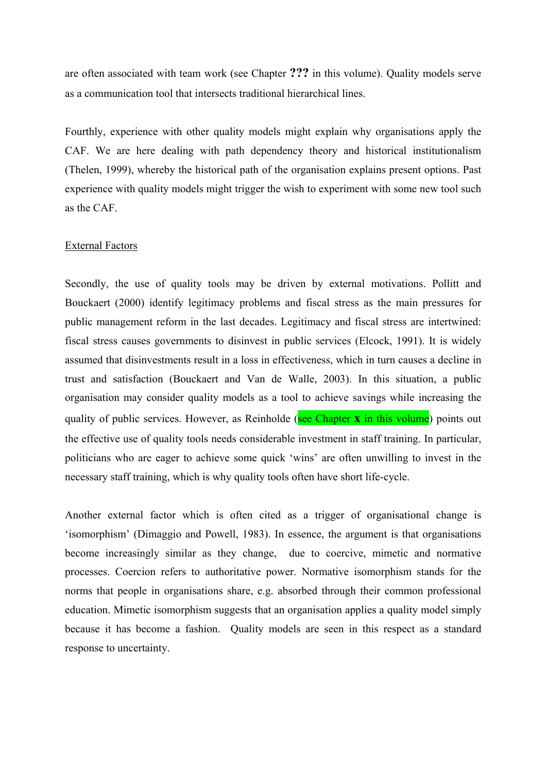are often associated with team work (see Chapter **???** in this volume). Quality models serve as a communication tool that intersects traditional hierarchical lines.

Fourthly, experience with other quality models might explain why organisations apply the CAF. We are here dealing with path dependency theory and historical institutionalism (Thelen, 1999), whereby the historical path of the organisation explains present options. Past experience with quality models might trigger the wish to experiment with some new tool such as the CAF.

# External Factors

Secondly, the use of quality tools may be driven by external motivations. Pollitt and Bouckaert (2000) identify legitimacy problems and fiscal stress as the main pressures for public management reform in the last decades. Legitimacy and fiscal stress are intertwined: fiscal stress causes governments to disinvest in public services (Elcock, 1991). It is widely assumed that disinvestments result in a loss in effectiveness, which in turn causes a decline in trust and satisfaction (Bouckaert and Van de Walle, 2003). In this situation, a public organisation may consider quality models as a tool to achieve savings while increasing the quality of public services. However, as Reinholde (see Chapter **x** in this volume) points out the effective use of quality tools needs considerable investment in staff training. In particular, politicians who are eager to achieve some quick 'wins' are often unwilling to invest in the necessary staff training, which is why quality tools often have short life-cycle.

Another external factor which is often cited as a trigger of organisational change is 'isomorphism' (Dimaggio and Powell, 1983). In essence, the argument is that organisations become increasingly similar as they change, due to coercive, mimetic and normative processes. Coercion refers to authoritative power. Normative isomorphism stands for the norms that people in organisations share, e.g. absorbed through their common professional education. Mimetic isomorphism suggests that an organisation applies a quality model simply because it has become a fashion. Quality models are seen in this respect as a standard response to uncertainty.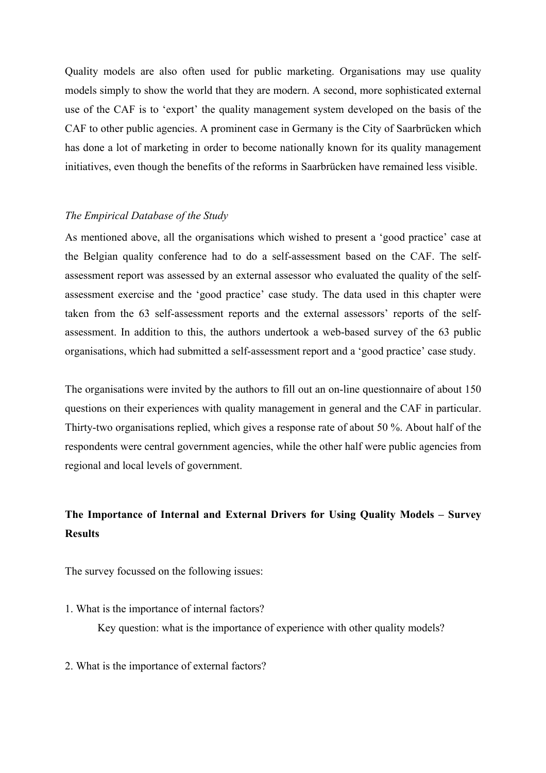Quality models are also often used for public marketing. Organisations may use quality models simply to show the world that they are modern. A second, more sophisticated external use of the CAF is to 'export' the quality management system developed on the basis of the CAF to other public agencies. A prominent case in Germany is the City of Saarbrücken which has done a lot of marketing in order to become nationally known for its quality management initiatives, even though the benefits of the reforms in Saarbrücken have remained less visible.

#### *The Empirical Database of the Study*

As mentioned above, all the organisations which wished to present a 'good practice' case at the Belgian quality conference had to do a self-assessment based on the CAF. The selfassessment report was assessed by an external assessor who evaluated the quality of the selfassessment exercise and the 'good practice' case study. The data used in this chapter were taken from the 63 self-assessment reports and the external assessors' reports of the selfassessment. In addition to this, the authors undertook a web-based survey of the 63 public organisations, which had submitted a self-assessment report and a 'good practice' case study.

The organisations were invited by the authors to fill out an on-line questionnaire of about 150 questions on their experiences with quality management in general and the CAF in particular. Thirty-two organisations replied, which gives a response rate of about 50 %. About half of the respondents were central government agencies, while the other half were public agencies from regional and local levels of government.

# **The Importance of Internal and External Drivers for Using Quality Models – Survey Results**

The survey focussed on the following issues:

1. What is the importance of internal factors?

Key question: what is the importance of experience with other quality models?

2. What is the importance of external factors?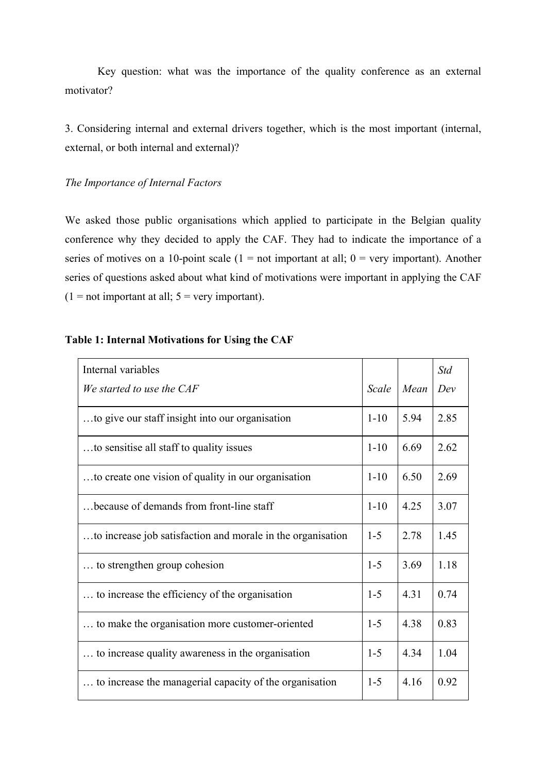Key question: what was the importance of the quality conference as an external motivator?

3. Considering internal and external drivers together, which is the most important (internal, external, or both internal and external)?

# *The Importance of Internal Factors*

We asked those public organisations which applied to participate in the Belgian quality conference why they decided to apply the CAF. They had to indicate the importance of a series of motives on a 10-point scale ( $1 = not$  important at all;  $0 = very$  important). Another series of questions asked about what kind of motivations were important in applying the CAF  $(1 = not important at all; 5 = very important).$ 

# **Table 1: Internal Motivations for Using the CAF**

| Internal variables                                          |          |      | <b>Std</b> |
|-------------------------------------------------------------|----------|------|------------|
| We started to use the CAF                                   | Scale    | Mean | Dev        |
| to give our staff insight into our organisation             | $1 - 10$ | 5.94 | 2.85       |
| to sensitise all staff to quality issues                    | $1 - 10$ | 6.69 | 2.62       |
| to create one vision of quality in our organisation         | $1 - 10$ | 6.50 | 2.69       |
| because of demands from front-line staff                    | $1 - 10$ | 4.25 | 3.07       |
| to increase job satisfaction and morale in the organisation | $1 - 5$  | 2.78 | 1.45       |
| to strengthen group cohesion                                | $1 - 5$  | 3.69 | 1.18       |
| to increase the efficiency of the organisation              | $1 - 5$  | 4.31 | 0.74       |
| to make the organisation more customer-oriented             | $1 - 5$  | 4.38 | 0.83       |
| to increase quality awareness in the organisation           | $1-5$    | 4.34 | 1.04       |
| to increase the managerial capacity of the organisation     | $1 - 5$  | 4.16 | 0.92       |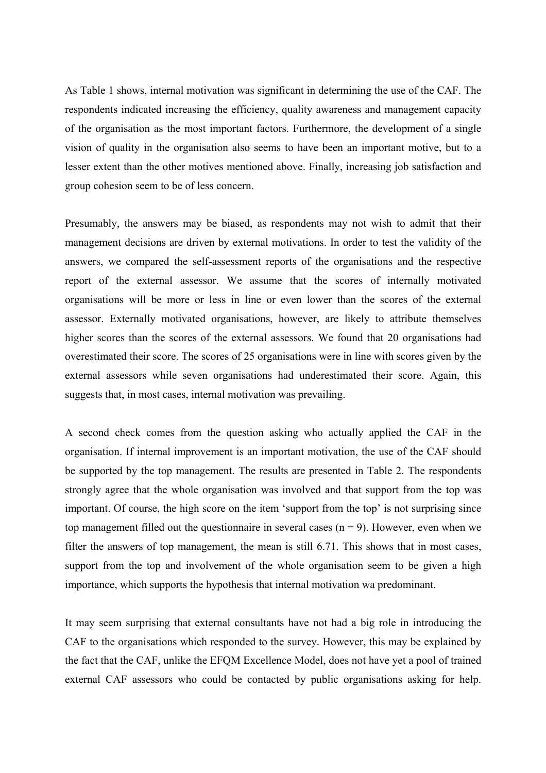As Table 1 shows, internal motivation was significant in determining the use of the CAF. The respondents indicated increasing the efficiency, quality awareness and management capacity of the organisation as the most important factors. Furthermore, the development of a single vision of quality in the organisation also seems to have been an important motive, but to a lesser extent than the other motives mentioned above. Finally, increasing job satisfaction and group cohesion seem to be of less concern.

Presumably, the answers may be biased, as respondents may not wish to admit that their management decisions are driven by external motivations. In order to test the validity of the answers, we compared the self-assessment reports of the organisations and the respective report of the external assessor. We assume that the scores of internally motivated organisations will be more or less in line or even lower than the scores of the external assessor. Externally motivated organisations, however, are likely to attribute themselves higher scores than the scores of the external assessors. We found that 20 organisations had overestimated their score. The scores of 25 organisations were in line with scores given by the external assessors while seven organisations had underestimated their score. Again, this suggests that, in most cases, internal motivation was prevailing.

A second check comes from the question asking who actually applied the CAF in the organisation. If internal improvement is an important motivation, the use of the CAF should be supported by the top management. The results are presented in Table 2. The respondents strongly agree that the whole organisation was involved and that support from the top was important. Of course, the high score on the item 'support from the top' is not surprising since top management filled out the questionnaire in several cases  $(n = 9)$ . However, even when we filter the answers of top management, the mean is still 6.71. This shows that in most cases, support from the top and involvement of the whole organisation seem to be given a high importance, which supports the hypothesis that internal motivation wa predominant.

It may seem surprising that external consultants have not had a big role in introducing the CAF to the organisations which responded to the survey. However, this may be explained by the fact that the CAF, unlike the EFQM Excellence Model, does not have yet a pool of trained external CAF assessors who could be contacted by public organisations asking for help.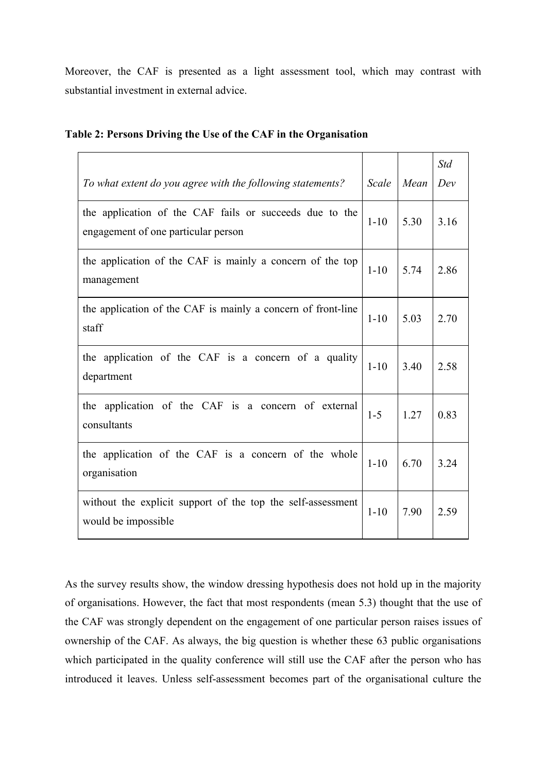Moreover, the CAF is presented as a light assessment tool, which may contrast with substantial investment in external advice.

| To what extent do you agree with the following statements?                                     | Scale    | Mean | <b>Std</b><br>Dev |
|------------------------------------------------------------------------------------------------|----------|------|-------------------|
| the application of the CAF fails or succeeds due to the<br>engagement of one particular person | $1 - 10$ | 5.30 | 3.16              |
| the application of the CAF is mainly a concern of the top<br>management                        | $1 - 10$ | 5.74 | 2.86              |
| the application of the CAF is mainly a concern of front-line<br>staff                          | $1 - 10$ | 5.03 | 2.70              |
| the application of the CAF is a concern of a quality<br>department                             | $1 - 10$ | 3.40 | 2.58              |
| the application of the CAF is a concern of external<br>consultants                             | $1 - 5$  | 1.27 | 0.83              |
| the application of the CAF is a concern of the whole<br>organisation                           | $1 - 10$ | 6.70 | 3.24              |
| without the explicit support of the top the self-assessment<br>would be impossible             | $1 - 10$ | 7.90 | 2.59              |

|  |  |  | Table 2: Persons Driving the Use of the CAF in the Organisation |
|--|--|--|-----------------------------------------------------------------|
|  |  |  |                                                                 |

As the survey results show, the window dressing hypothesis does not hold up in the majority of organisations. However, the fact that most respondents (mean 5.3) thought that the use of the CAF was strongly dependent on the engagement of one particular person raises issues of ownership of the CAF. As always, the big question is whether these 63 public organisations which participated in the quality conference will still use the CAF after the person who has introduced it leaves. Unless self-assessment becomes part of the organisational culture the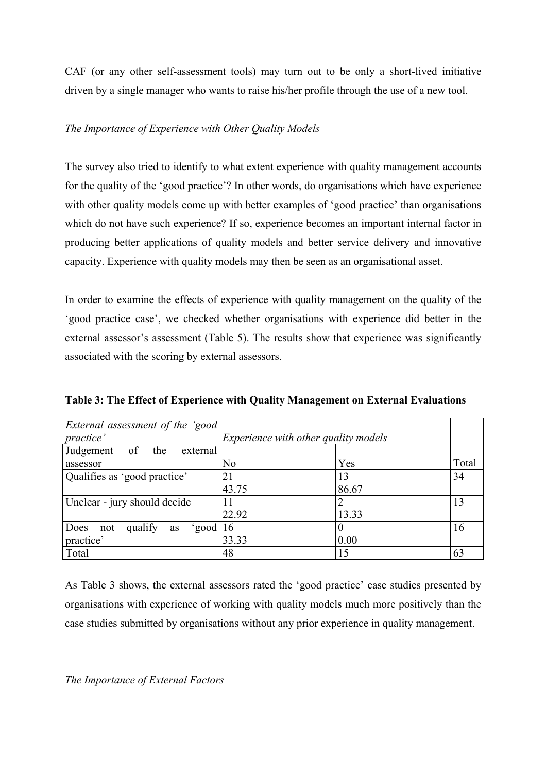CAF (or any other self-assessment tools) may turn out to be only a short-lived initiative driven by a single manager who wants to raise his/her profile through the use of a new tool.

# *The Importance of Experience with Other Quality Models*

The survey also tried to identify to what extent experience with quality management accounts for the quality of the 'good practice'? In other words, do organisations which have experience with other quality models come up with better examples of 'good practice' than organisations which do not have such experience? If so, experience becomes an important internal factor in producing better applications of quality models and better service delivery and innovative capacity. Experience with quality models may then be seen as an organisational asset.

In order to examine the effects of experience with quality management on the quality of the 'good practice case', we checked whether organisations with experience did better in the external assessor's assessment (Table 5). The results show that experience was significantly associated with the scoring by external assessors.

| External assessment of the 'good           |                                             |       |       |
|--------------------------------------------|---------------------------------------------|-------|-------|
| practice'                                  | <i>Experience with other quality models</i> |       |       |
| Judgement of<br>the<br>external            |                                             |       |       |
| assessor                                   | No                                          | Yes   | Total |
| Qualifies as 'good practice'               | 21                                          | 13    | 34    |
|                                            | 43.75                                       | 86.67 |       |
| Unclear - jury should decide               | 11                                          |       | 13    |
|                                            | 22.92                                       | 13.33 |       |
| Does<br>qualify<br>'good   16<br>not<br>as |                                             | O     | 16    |
| practice'                                  | 33.33                                       | 0.00  |       |
| Total                                      | 48                                          | 15    | 63    |

**Table 3: The Effect of Experience with Quality Management on External Evaluations** 

As Table 3 shows, the external assessors rated the 'good practice' case studies presented by organisations with experience of working with quality models much more positively than the case studies submitted by organisations without any prior experience in quality management.

# *The Importance of External Factors*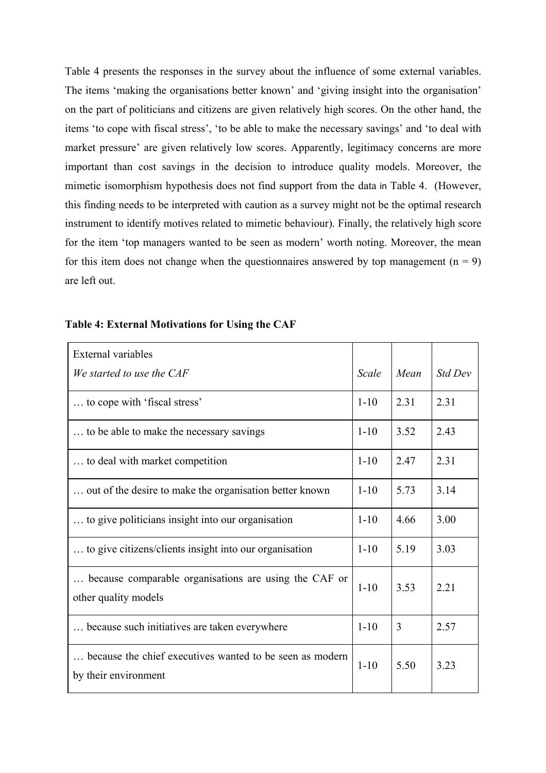Table 4 presents the responses in the survey about the influence of some external variables. The items 'making the organisations better known' and 'giving insight into the organisation' on the part of politicians and citizens are given relatively high scores. On the other hand, the items 'to cope with fiscal stress', 'to be able to make the necessary savings' and 'to deal with market pressure' are given relatively low scores. Apparently, legitimacy concerns are more important than cost savings in the decision to introduce quality models. Moreover, the mimetic isomorphism hypothesis does not find support from the data in Table 4. (However, this finding needs to be interpreted with caution as a survey might not be the optimal research instrument to identify motives related to mimetic behaviour). Finally, the relatively high score for the item 'top managers wanted to be seen as modern' worth noting. Moreover, the mean for this item does not change when the questionnaires answered by top management  $(n = 9)$ are left out.

| External variables                                                               |          |      |                |
|----------------------------------------------------------------------------------|----------|------|----------------|
| We started to use the CAF                                                        | Scale    | Mean | <b>Std Dev</b> |
| to cope with 'fiscal stress'                                                     | $1 - 10$ | 2.31 | 2.31           |
| to be able to make the necessary savings                                         | $1 - 10$ | 3.52 | 2.43           |
| to deal with market competition                                                  | $1 - 10$ | 2.47 | 2.31           |
| out of the desire to make the organisation better known                          | $1 - 10$ | 5.73 | 3.14           |
| to give politicians insight into our organisation                                | $1 - 10$ | 4.66 | 3.00           |
| to give citizens/clients insight into our organisation                           | $1 - 10$ | 5.19 | 3.03           |
| because comparable organisations are using the CAF or<br>other quality models    | $1 - 10$ | 3.53 | 2.21           |
| because such initiatives are taken everywhere                                    | $1 - 10$ | 3    | 2.57           |
| because the chief executives wanted to be seen as modern<br>by their environment | $1 - 10$ | 5.50 | 3.23           |

### **Table 4: External Motivations for Using the CAF**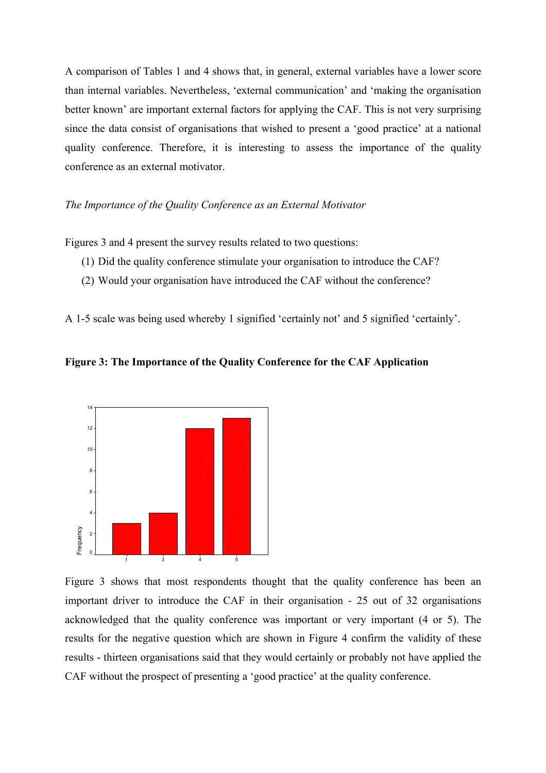A comparison of Tables 1 and 4 shows that, in general, external variables have a lower score than internal variables. Nevertheless, 'external communication' and 'making the organisation better known' are important external factors for applying the CAF. This is not very surprising since the data consist of organisations that wished to present a 'good practice' at a national quality conference. Therefore, it is interesting to assess the importance of the quality conference as an external motivator.

#### *The Importance of the Quality Conference as an External Motivator*

Figures 3 and 4 present the survey results related to two questions:

- (1) Did the quality conference stimulate your organisation to introduce the CAF?
- (2) Would your organisation have introduced the CAF without the conference?

A 1-5 scale was being used whereby 1 signified 'certainly not' and 5 signified 'certainly'.

**Figure 3: The Importance of the Quality Conference for the CAF Application**



Figure 3 shows that most respondents thought that the quality conference has been an important driver to introduce the CAF in their organisation - 25 out of 32 organisations acknowledged that the quality conference was important or very important (4 or 5). The results for the negative question which are shown in Figure 4 confirm the validity of these results - thirteen organisations said that they would certainly or probably not have applied the CAF without the prospect of presenting a 'good practice' at the quality conference.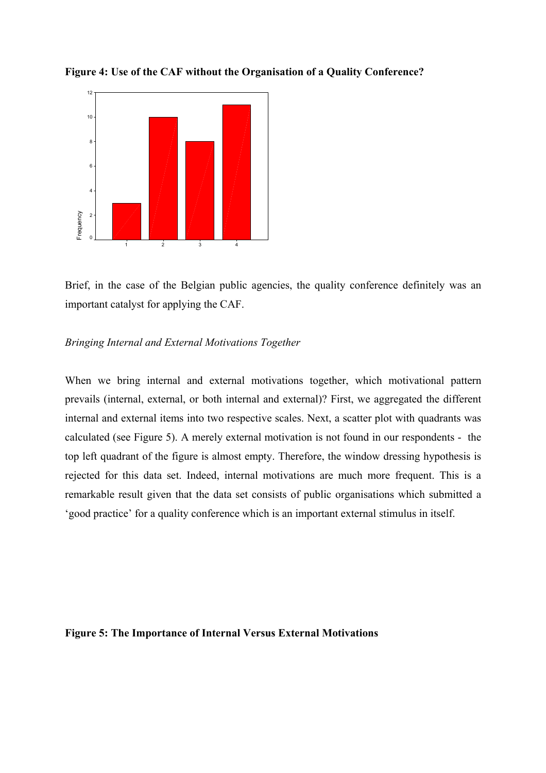

**Figure 4: Use of the CAF without the Organisation of a Quality Conference?** 

Brief, in the case of the Belgian public agencies, the quality conference definitely was an important catalyst for applying the CAF.

### *Bringing Internal and External Motivations Together*

When we bring internal and external motivations together, which motivational pattern prevails (internal, external, or both internal and external)? First, we aggregated the different internal and external items into two respective scales. Next, a scatter plot with quadrants was calculated (see Figure 5). A merely external motivation is not found in our respondents - the top left quadrant of the figure is almost empty. Therefore, the window dressing hypothesis is rejected for this data set. Indeed, internal motivations are much more frequent. This is a remarkable result given that the data set consists of public organisations which submitted a 'good practice' for a quality conference which is an important external stimulus in itself.

#### **Figure 5: The Importance of Internal Versus External Motivations**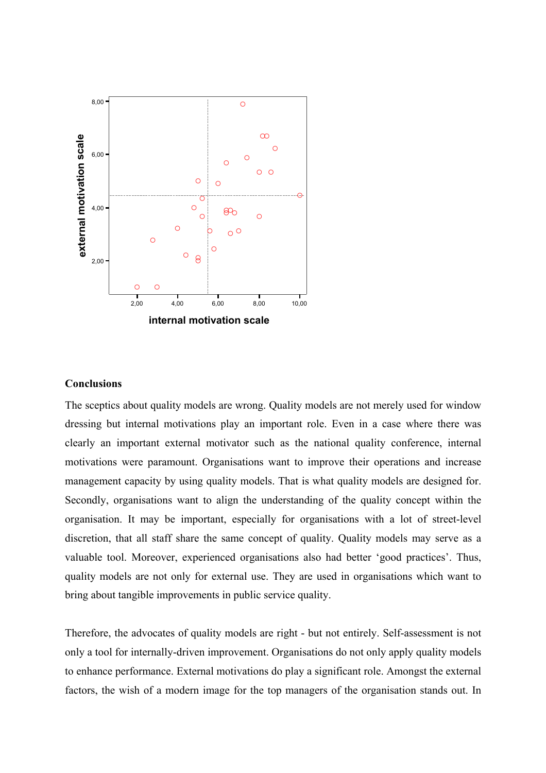

#### **Conclusions**

The sceptics about quality models are wrong. Quality models are not merely used for window dressing but internal motivations play an important role. Even in a case where there was clearly an important external motivator such as the national quality conference, internal motivations were paramount. Organisations want to improve their operations and increase management capacity by using quality models. That is what quality models are designed for. Secondly, organisations want to align the understanding of the quality concept within the organisation. It may be important, especially for organisations with a lot of street-level discretion, that all staff share the same concept of quality. Quality models may serve as a valuable tool. Moreover, experienced organisations also had better 'good practices'. Thus, quality models are not only for external use. They are used in organisations which want to bring about tangible improvements in public service quality.

Therefore, the advocates of quality models are right - but not entirely. Self-assessment is not only a tool for internally-driven improvement. Organisations do not only apply quality models to enhance performance. External motivations do play a significant role. Amongst the external factors, the wish of a modern image for the top managers of the organisation stands out. In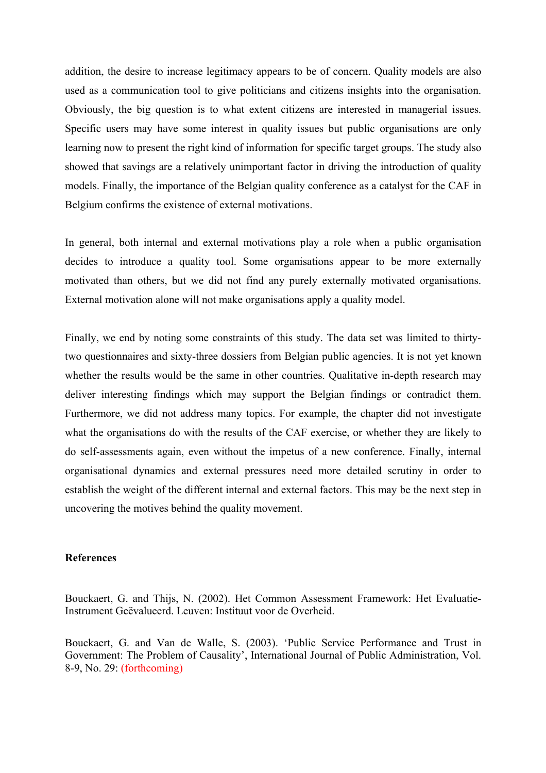addition, the desire to increase legitimacy appears to be of concern. Quality models are also used as a communication tool to give politicians and citizens insights into the organisation. Obviously, the big question is to what extent citizens are interested in managerial issues. Specific users may have some interest in quality issues but public organisations are only learning now to present the right kind of information for specific target groups. The study also showed that savings are a relatively unimportant factor in driving the introduction of quality models. Finally, the importance of the Belgian quality conference as a catalyst for the CAF in Belgium confirms the existence of external motivations.

In general, both internal and external motivations play a role when a public organisation decides to introduce a quality tool. Some organisations appear to be more externally motivated than others, but we did not find any purely externally motivated organisations. External motivation alone will not make organisations apply a quality model.

Finally, we end by noting some constraints of this study. The data set was limited to thirtytwo questionnaires and sixty-three dossiers from Belgian public agencies. It is not yet known whether the results would be the same in other countries. Qualitative in-depth research may deliver interesting findings which may support the Belgian findings or contradict them. Furthermore, we did not address many topics. For example, the chapter did not investigate what the organisations do with the results of the CAF exercise, or whether they are likely to do self-assessments again, even without the impetus of a new conference. Finally, internal organisational dynamics and external pressures need more detailed scrutiny in order to establish the weight of the different internal and external factors. This may be the next step in uncovering the motives behind the quality movement.

# **References**

Bouckaert, G. and Thijs, N. (2002). Het Common Assessment Framework: Het Evaluatie-Instrument Geëvalueerd. Leuven: Instituut voor de Overheid.

Bouckaert, G. and Van de Walle, S. (2003). 'Public Service Performance and Trust in Government: The Problem of Causality', International Journal of Public Administration, Vol. 8-9, No. 29: (forthcoming)